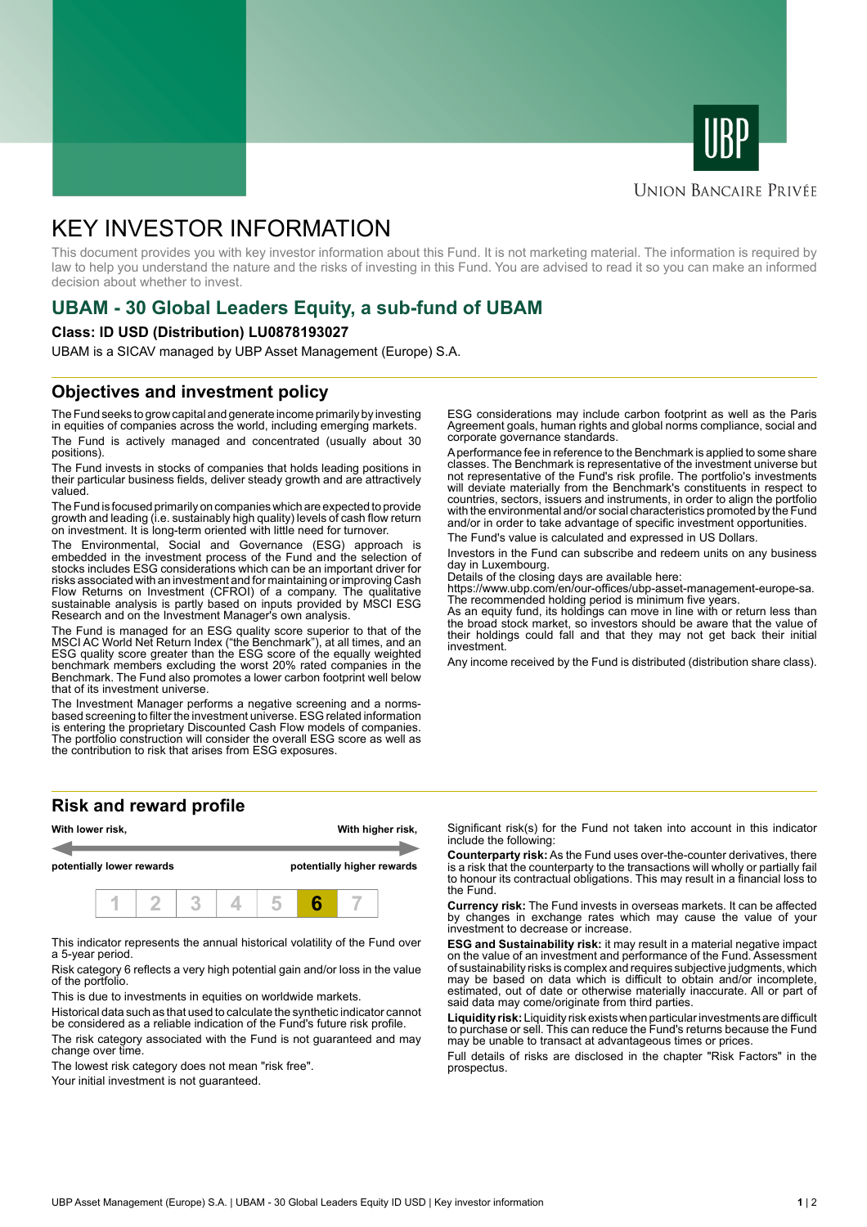



### **UNION BANCAIRE PRIVÉE**

# KEY INVESTOR INFORMATION

This document provides you with key investor information about this Fund. It is not marketing material. The information is required by law to help you understand the nature and the risks of investing in this Fund. You are advised to read it so you can make an informed decision about whether to invest.

# **UBAM - 30 Global Leaders Equity, a sub-fund of UBAM**

### **Class: ID USD (Distribution) LU0878193027**

UBAM is a SICAV managed by UBP Asset Management (Europe) S.A.

### **Objectives and investment policy**

The Fund seeks to grow capital and generate income primarily by investing in equities of companies across the world, including emerging markets. The Fund is actively managed and concentrated (usually about 30 positions).

The Fund invests in stocks of companies that holds leading positions in their particular business fields, deliver steady growth and are attractively valued.

The Fund is focused primarily on companies which are expected to provide growth and leading (i.e. sustainably high quality) levels of cash flow return on investment. It is long-term oriented with little need for turnover.

The Environmental, Social and Governance (ESG) approach is embedded in the investment process of the Fund and the selection of stocks includes ESG considerations which can be an important driver for risks associated with an investment and for maintaining or improving Cash Flow Returns on Investment (CFROI) of a company. The qualitative sustainable analysis is partly based on inputs provided by MSCI ESG Research and on the Investment Manager's own analysis.

The Fund is managed for an ESG quality score superior to that of the MSCI AC World Net Return Index ("the Benchmark"), at all times, and an ESG quality score greater than the ESG score of the equally weighted benchmark members excluding the worst 20% rated companies in the Benchmark. The Fund also promotes a lower carbon footprint well below that of its investment universe.

The Investment Manager performs a negative screening and a normsbased screening to filter the investment universe. ESG related information is entering the proprietary Discounted Cash Flow models of companies. The portfolio construction will consider the overall ESG score as well as the contribution to risk that arises from ESG exposures.

**Risk and reward profile**



This indicator represents the annual historical volatility of the Fund over a 5-year period.

Risk category 6 reflects a very high potential gain and/or loss in the value of the portfolio.

This is due to investments in equities on worldwide markets.

Historical data such as that used to calculate the synthetic indicator cannot be considered as a reliable indication of the Fund's future risk profile.

The risk category associated with the Fund is not guaranteed and may change over time.

The lowest risk category does not mean "risk free".

Your initial investment is not quaranteed.

ESG considerations may include carbon footprint as well as the Paris Agreement goals, human rights and global norms compliance, social and corporate governance standards.

A performance fee in reference to the Benchmark is applied to some share classes. The Benchmark is representative of the investment universe but not representative of the Fund's risk profile. The portfolio's investments will deviate materially from the Benchmark's constituents in respect to countries, sectors, issuers and instruments, in order to align the portfolio with the environmental and/or social characteristics promoted by the Fund and/or in order to take advantage of specific investment opportunities.

The Fund's value is calculated and expressed in US Dollars.

Investors in the Fund can subscribe and redeem units on any business day in Luxembourg.

Details of the closing days are available here:

https://www.ubp.com/en/our-offices/ubp-asset-management-europe-sa. The recommended holding period is minimum five years.

As an equity fund, its holdings can move in line with or return less than the broad stock market, so investors should be aware that the value of their holdings could fall and that they may not get back their initial investment.

Any income received by the Fund is distributed (distribution share class).

Significant risk(s) for the Fund not taken into account in this indicator include the following:

**Counterparty risk:** As the Fund uses over-the-counter derivatives, there is a risk that the counterparty to the transactions will wholly or partially fail to honour its contractual obligations. This may result in a financial loss to the Fund.

**Currency risk:** The Fund invests in overseas markets. It can be affected by changes in exchange rates which may cause the value of your investment to decrease or increase.

**ESG and Sustainability risk:** it may result in a material negative impact on the value of an investment and performance of the Fund. Assessment of sustainability risks is complex and requires subjective judgments, which may be based on data which is difficult to obtain and/or incomplete, estimated, out of date or otherwise materially inaccurate. All or part of said data may come/originate from third parties.

**Liquidity risk:** Liquidity risk exists when particular investments are difficult to purchase or sell. This can reduce the Fund's returns because the Fund may be unable to transact at advantageous times or prices.

Full details of risks are disclosed in the chapter "Risk Factors" in the prospectus.